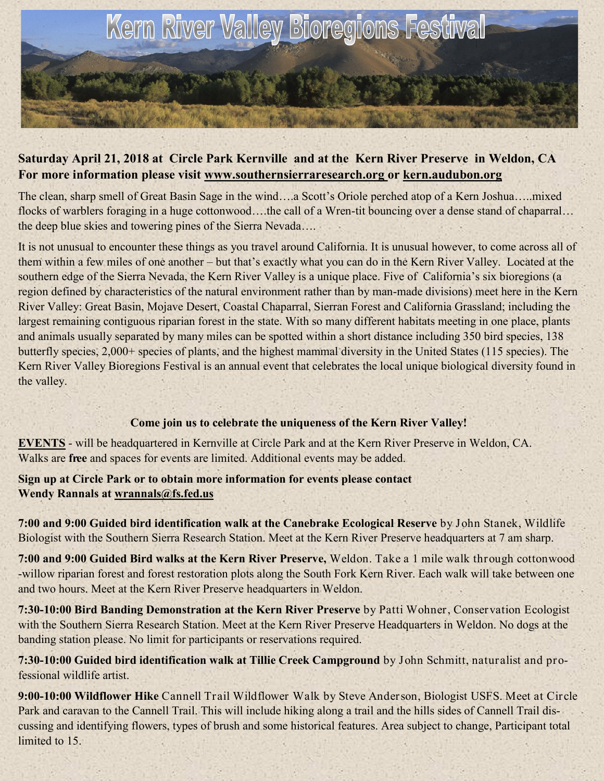

## **Saturday April 21, 2018 at Circle Park Kernville and at the Kern River Preserve in Weldon, CA For more information please visit www.southernsierraresearch.org or kern.audubon.org**

The clean, sharp smell of Great Basin Sage in the wind….a Scott's Oriole perched atop of a Kern Joshua…..mixed flocks of warblers foraging in a huge cottonwood….the call of a Wren-tit bouncing over a dense stand of chaparral… the deep blue skies and towering pines of the Sierra Nevada….

It is not unusual to encounter these things as you travel around California. It is unusual however, to come across all of them within a few miles of one another – but that's exactly what you can do in the Kern River Valley. Located at the southern edge of the Sierra Nevada, the Kern River Valley is a unique place. Five of California's six bioregions (a region defined by characteristics of the natural environment rather than by man-made divisions) meet here in the Kern River Valley: Great Basin, Mojave Desert, Coastal Chaparral, Sierran Forest and California Grassland; including the largest remaining contiguous riparian forest in the state. With so many different habitats meeting in one place, plants and animals usually separated by many miles can be spotted within a short distance including 350 bird species, 138 butterfly species, 2,000+ species of plants, and the highest mammal diversity in the United States (115 species). The Kern River Valley Bioregions Festival is an annual event that celebrates the local unique biological diversity found in the valley.

## **Come join us to celebrate the uniqueness of the Kern River Valley!**

**EVENTS** - will be headquartered in Kernville at Circle Park and at the Kern River Preserve in Weldon, CA. Walks are **free** and spaces for events are limited. Additional events may be added.

**Sign up at Circle Park or to obtain more information for events please contact Wendy Rannals at wrannals@fs.fed.us**

**7:00 and 9:00 Guided bird identification walk at the Canebrake Ecological Reserve** by John Stanek, Wildlife Biologist with the Southern Sierra Research Station. Meet at the Kern River Preserve headquarters at 7 am sharp.

**7:00 and 9:00 Guided Bird walks at the Kern River Preserve,** Weldon. Take a 1 mile walk through cottonwood -willow riparian forest and forest restoration plots along the South Fork Kern River. Each walk will take between one and two hours. Meet at the Kern River Preserve headquarters in Weldon.

**7:30-10:00 Bird Banding Demonstration at the Kern River Preserve** by Patti Wohner, Conservation Ecologist with the Southern Sierra Research Station. Meet at the Kern River Preserve Headquarters in Weldon. No dogs at the banding station please. No limit for participants or reservations required.

**7:30-10:00 Guided bird identification walk at Tillie Creek Campground** by John Schmitt, naturalist and professional wildlife artist.

**9:00-10:00 Wildflower Hike** Cannell Trail Wildflower Walk by Steve Anderson, Biologist USFS. Meet at Circle Park and caravan to the Cannell Trail. This will include hiking along a trail and the hills sides of Cannell Trail discussing and identifying flowers, types of brush and some historical features. Area subject to change, Participant total limited to 15.